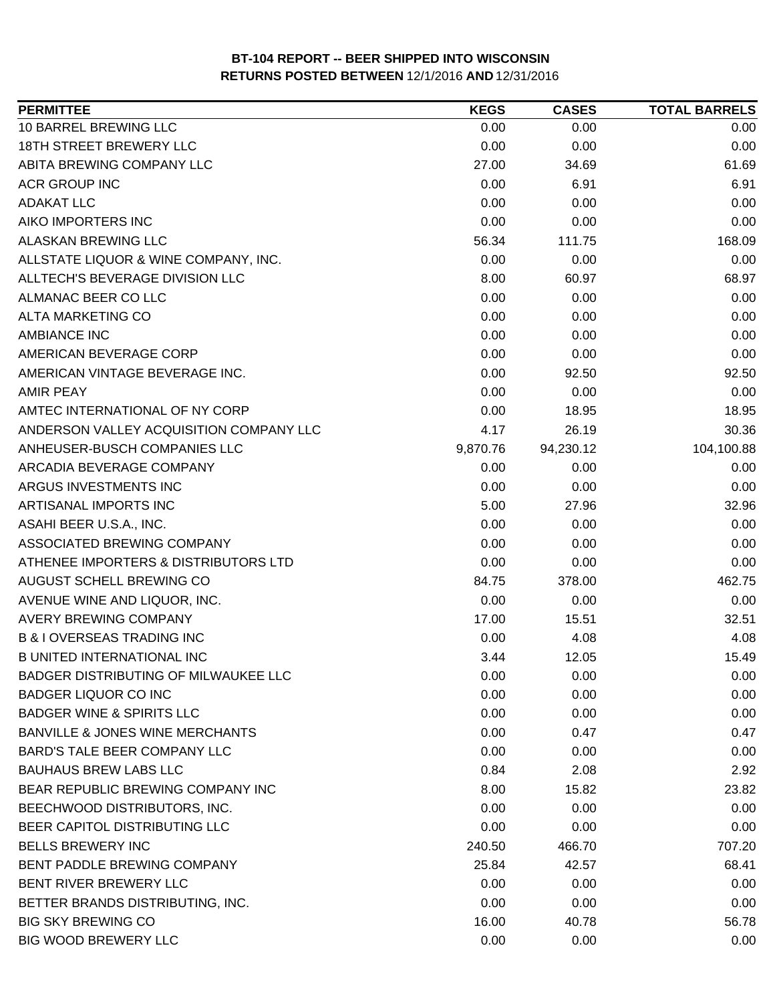| <b>PERMITTEE</b>                        | <b>KEGS</b> | <b>CASES</b> | <b>TOTAL BARRELS</b> |
|-----------------------------------------|-------------|--------------|----------------------|
| 10 BARREL BREWING LLC                   | 0.00        | 0.00         | 0.00                 |
| <b>18TH STREET BREWERY LLC</b>          | 0.00        | 0.00         | 0.00                 |
| ABITA BREWING COMPANY LLC               | 27.00       | 34.69        | 61.69                |
| <b>ACR GROUP INC</b>                    | 0.00        | 6.91         | 6.91                 |
| <b>ADAKAT LLC</b>                       | 0.00        | 0.00         | 0.00                 |
| AIKO IMPORTERS INC                      | 0.00        | 0.00         | 0.00                 |
| <b>ALASKAN BREWING LLC</b>              | 56.34       | 111.75       | 168.09               |
| ALLSTATE LIQUOR & WINE COMPANY, INC.    | 0.00        | 0.00         | 0.00                 |
| ALLTECH'S BEVERAGE DIVISION LLC         | 8.00        | 60.97        | 68.97                |
| ALMANAC BEER CO LLC                     | 0.00        | 0.00         | 0.00                 |
| ALTA MARKETING CO                       | 0.00        | 0.00         | 0.00                 |
| <b>AMBIANCE INC</b>                     | 0.00        | 0.00         | 0.00                 |
| AMERICAN BEVERAGE CORP                  | 0.00        | 0.00         | 0.00                 |
| AMERICAN VINTAGE BEVERAGE INC.          | 0.00        | 92.50        | 92.50                |
| <b>AMIR PEAY</b>                        | 0.00        | 0.00         | 0.00                 |
| AMTEC INTERNATIONAL OF NY CORP          | 0.00        | 18.95        | 18.95                |
| ANDERSON VALLEY ACQUISITION COMPANY LLC | 4.17        | 26.19        | 30.36                |
| ANHEUSER-BUSCH COMPANIES LLC            | 9,870.76    | 94,230.12    | 104,100.88           |
| ARCADIA BEVERAGE COMPANY                | 0.00        | 0.00         | 0.00                 |
| ARGUS INVESTMENTS INC                   | 0.00        | 0.00         | 0.00                 |
| ARTISANAL IMPORTS INC                   | 5.00        | 27.96        | 32.96                |
| ASAHI BEER U.S.A., INC.                 | 0.00        | 0.00         | 0.00                 |
| ASSOCIATED BREWING COMPANY              | 0.00        | 0.00         | 0.00                 |
| ATHENEE IMPORTERS & DISTRIBUTORS LTD    | 0.00        | 0.00         | 0.00                 |
| AUGUST SCHELL BREWING CO                | 84.75       | 378.00       | 462.75               |
| AVENUE WINE AND LIQUOR, INC.            | 0.00        | 0.00         | 0.00                 |
| <b>AVERY BREWING COMPANY</b>            | 17.00       | 15.51        | 32.51                |
| <b>B &amp; I OVERSEAS TRADING INC</b>   | 0.00        | 4.08         | 4.08                 |
| <b>B UNITED INTERNATIONAL INC</b>       | 3.44        | 12.05        | 15.49                |
| BADGER DISTRIBUTING OF MILWAUKEE LLC    | 0.00        | 0.00         | 0.00                 |
| <b>BADGER LIQUOR CO INC</b>             | 0.00        | 0.00         | 0.00                 |
| <b>BADGER WINE &amp; SPIRITS LLC</b>    | 0.00        | 0.00         | 0.00                 |
| BANVILLE & JONES WINE MERCHANTS         | 0.00        | 0.47         | 0.47                 |
| <b>BARD'S TALE BEER COMPANY LLC</b>     | 0.00        | 0.00         | 0.00                 |
| <b>BAUHAUS BREW LABS LLC</b>            | 0.84        | 2.08         | 2.92                 |
| BEAR REPUBLIC BREWING COMPANY INC       | 8.00        | 15.82        | 23.82                |
| BEECHWOOD DISTRIBUTORS, INC.            | 0.00        | 0.00         | 0.00                 |
| BEER CAPITOL DISTRIBUTING LLC           | 0.00        | 0.00         | 0.00                 |
| <b>BELLS BREWERY INC</b>                | 240.50      | 466.70       | 707.20               |
| BENT PADDLE BREWING COMPANY             | 25.84       | 42.57        | 68.41                |
| BENT RIVER BREWERY LLC                  | 0.00        | 0.00         | 0.00                 |
| BETTER BRANDS DISTRIBUTING, INC.        | 0.00        | 0.00         | 0.00                 |
| <b>BIG SKY BREWING CO</b>               | 16.00       | 40.78        | 56.78                |
| <b>BIG WOOD BREWERY LLC</b>             | 0.00        | 0.00         | 0.00                 |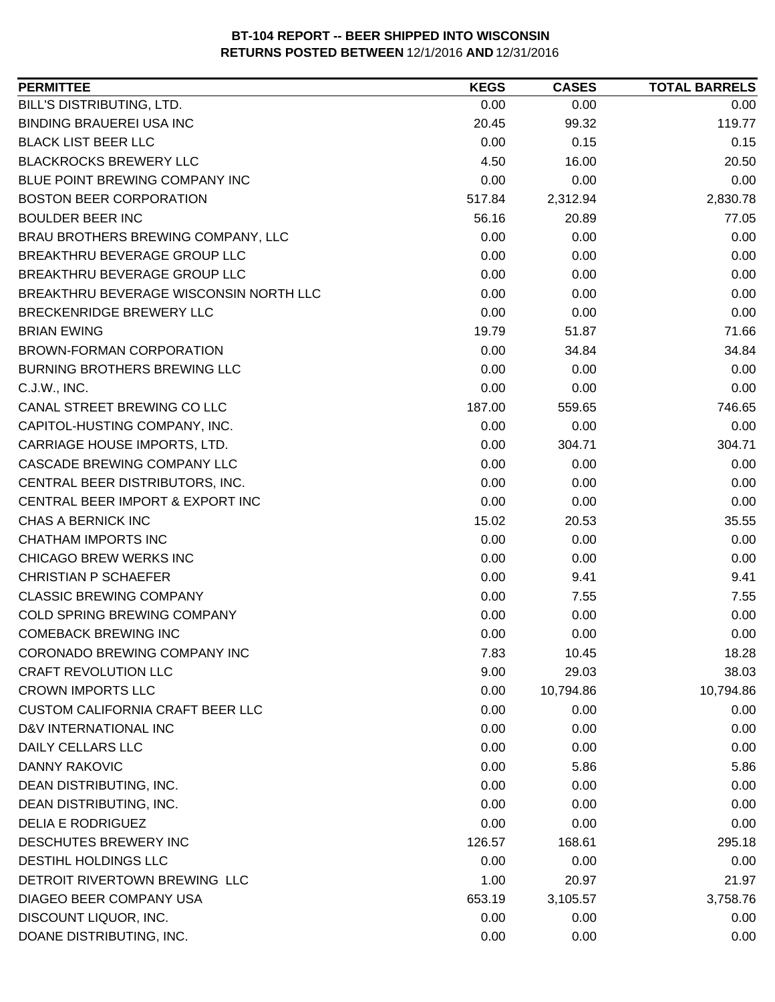| BILL'S DISTRIBUTING, LTD.<br>0.00<br>0.00<br>0.00<br><b>BINDING BRAUEREI USA INC</b><br>119.77<br>20.45<br>99.32<br><b>BLACK LIST BEER LLC</b><br>0.00<br>0.15<br>0.15<br><b>BLACKROCKS BREWERY LLC</b><br>4.50<br>20.50<br>16.00<br>BLUE POINT BREWING COMPANY INC<br>0.00<br>0.00<br>0.00<br><b>BOSTON BEER CORPORATION</b><br>2,830.78<br>517.84<br>2,312.94<br>77.05<br><b>BOULDER BEER INC</b><br>56.16<br>20.89<br>BRAU BROTHERS BREWING COMPANY, LLC<br>0.00<br>0.00<br>0.00<br>BREAKTHRU BEVERAGE GROUP LLC<br>0.00<br>0.00<br>0.00<br>BREAKTHRU BEVERAGE GROUP LLC<br>0.00<br>0.00<br>0.00<br>BREAKTHRU BEVERAGE WISCONSIN NORTH LLC<br>0.00<br>0.00<br>0.00<br>BRECKENRIDGE BREWERY LLC<br>0.00<br>0.00<br>0.00<br>71.66<br><b>BRIAN EWING</b><br>19.79<br>51.87<br><b>BROWN-FORMAN CORPORATION</b><br>0.00<br>34.84<br>34.84<br><b>BURNING BROTHERS BREWING LLC</b><br>0.00<br>0.00<br>0.00<br>0.00<br>0.00<br>0.00<br>C.J.W., INC.<br>187.00<br>746.65<br>CANAL STREET BREWING CO LLC<br>559.65<br>0.00<br>CAPITOL-HUSTING COMPANY, INC.<br>0.00<br>0.00<br>0.00<br>304.71<br>CARRIAGE HOUSE IMPORTS, LTD.<br>304.71<br>CASCADE BREWING COMPANY LLC<br>0.00<br>0.00<br>0.00<br>0.00<br>0.00<br>0.00<br>CENTRAL BEER DISTRIBUTORS, INC.<br>CENTRAL BEER IMPORT & EXPORT INC<br>0.00<br>0.00<br>0.00<br>CHAS A BERNICK INC<br>15.02<br>20.53<br>35.55<br><b>CHATHAM IMPORTS INC</b><br>0.00<br>0.00<br>0.00<br>0.00<br><b>CHICAGO BREW WERKS INC</b><br>0.00<br>0.00<br><b>CHRISTIAN P SCHAEFER</b><br>0.00<br>9.41<br>9.41<br><b>CLASSIC BREWING COMPANY</b><br>0.00<br>7.55<br>7.55<br>COLD SPRING BREWING COMPANY<br>0.00<br>0.00<br>0.00<br>0.00<br>0.00<br>0.00<br><b>COMEBACK BREWING INC</b><br>CORONADO BREWING COMPANY INC<br>7.83<br>10.45<br>18.28<br><b>CRAFT REVOLUTION LLC</b><br>9.00<br>29.03<br>38.03<br><b>CROWN IMPORTS LLC</b><br>0.00<br>10,794.86<br>10,794.86<br><b>CUSTOM CALIFORNIA CRAFT BEER LLC</b><br>0.00<br>0.00<br>0.00<br>0.00<br>D&V INTERNATIONAL INC<br>0.00<br>0.00<br><b>DAILY CELLARS LLC</b><br>0.00<br>0.00<br>0.00<br><b>DANNY RAKOVIC</b><br>0.00<br>5.86<br>5.86<br>DEAN DISTRIBUTING, INC.<br>0.00<br>0.00<br>0.00<br>DEAN DISTRIBUTING, INC.<br>0.00<br>0.00<br>0.00<br>0.00<br>0.00<br><b>DELIA E RODRIGUEZ</b><br>0.00<br>DESCHUTES BREWERY INC<br>126.57<br>168.61<br>295.18<br>DESTIHL HOLDINGS LLC<br>0.00<br>0.00<br>0.00<br>DETROIT RIVERTOWN BREWING LLC<br>1.00<br>20.97<br>21.97<br>DIAGEO BEER COMPANY USA<br>3,758.76<br>653.19<br>3,105.57<br>DISCOUNT LIQUOR, INC.<br>0.00<br>0.00<br>0.00<br>DOANE DISTRIBUTING, INC.<br>0.00<br>0.00<br>0.00 | <b>PERMITTEE</b> | <b>KEGS</b> | <b>CASES</b> | <b>TOTAL BARRELS</b> |
|----------------------------------------------------------------------------------------------------------------------------------------------------------------------------------------------------------------------------------------------------------------------------------------------------------------------------------------------------------------------------------------------------------------------------------------------------------------------------------------------------------------------------------------------------------------------------------------------------------------------------------------------------------------------------------------------------------------------------------------------------------------------------------------------------------------------------------------------------------------------------------------------------------------------------------------------------------------------------------------------------------------------------------------------------------------------------------------------------------------------------------------------------------------------------------------------------------------------------------------------------------------------------------------------------------------------------------------------------------------------------------------------------------------------------------------------------------------------------------------------------------------------------------------------------------------------------------------------------------------------------------------------------------------------------------------------------------------------------------------------------------------------------------------------------------------------------------------------------------------------------------------------------------------------------------------------------------------------------------------------------------------------------------------------------------------------------------------------------------------------------------------------------------------------------------------------------------------------------------------------------------------------------------------------------------------------------------------------------------------------------------------------------------------------------------------------------------------------------------------------------------------------------------------------------------------------------------------------------------------------|------------------|-------------|--------------|----------------------|
|                                                                                                                                                                                                                                                                                                                                                                                                                                                                                                                                                                                                                                                                                                                                                                                                                                                                                                                                                                                                                                                                                                                                                                                                                                                                                                                                                                                                                                                                                                                                                                                                                                                                                                                                                                                                                                                                                                                                                                                                                                                                                                                                                                                                                                                                                                                                                                                                                                                                                                                                                                                                                      |                  |             |              |                      |
|                                                                                                                                                                                                                                                                                                                                                                                                                                                                                                                                                                                                                                                                                                                                                                                                                                                                                                                                                                                                                                                                                                                                                                                                                                                                                                                                                                                                                                                                                                                                                                                                                                                                                                                                                                                                                                                                                                                                                                                                                                                                                                                                                                                                                                                                                                                                                                                                                                                                                                                                                                                                                      |                  |             |              |                      |
|                                                                                                                                                                                                                                                                                                                                                                                                                                                                                                                                                                                                                                                                                                                                                                                                                                                                                                                                                                                                                                                                                                                                                                                                                                                                                                                                                                                                                                                                                                                                                                                                                                                                                                                                                                                                                                                                                                                                                                                                                                                                                                                                                                                                                                                                                                                                                                                                                                                                                                                                                                                                                      |                  |             |              |                      |
|                                                                                                                                                                                                                                                                                                                                                                                                                                                                                                                                                                                                                                                                                                                                                                                                                                                                                                                                                                                                                                                                                                                                                                                                                                                                                                                                                                                                                                                                                                                                                                                                                                                                                                                                                                                                                                                                                                                                                                                                                                                                                                                                                                                                                                                                                                                                                                                                                                                                                                                                                                                                                      |                  |             |              |                      |
|                                                                                                                                                                                                                                                                                                                                                                                                                                                                                                                                                                                                                                                                                                                                                                                                                                                                                                                                                                                                                                                                                                                                                                                                                                                                                                                                                                                                                                                                                                                                                                                                                                                                                                                                                                                                                                                                                                                                                                                                                                                                                                                                                                                                                                                                                                                                                                                                                                                                                                                                                                                                                      |                  |             |              |                      |
|                                                                                                                                                                                                                                                                                                                                                                                                                                                                                                                                                                                                                                                                                                                                                                                                                                                                                                                                                                                                                                                                                                                                                                                                                                                                                                                                                                                                                                                                                                                                                                                                                                                                                                                                                                                                                                                                                                                                                                                                                                                                                                                                                                                                                                                                                                                                                                                                                                                                                                                                                                                                                      |                  |             |              |                      |
|                                                                                                                                                                                                                                                                                                                                                                                                                                                                                                                                                                                                                                                                                                                                                                                                                                                                                                                                                                                                                                                                                                                                                                                                                                                                                                                                                                                                                                                                                                                                                                                                                                                                                                                                                                                                                                                                                                                                                                                                                                                                                                                                                                                                                                                                                                                                                                                                                                                                                                                                                                                                                      |                  |             |              |                      |
|                                                                                                                                                                                                                                                                                                                                                                                                                                                                                                                                                                                                                                                                                                                                                                                                                                                                                                                                                                                                                                                                                                                                                                                                                                                                                                                                                                                                                                                                                                                                                                                                                                                                                                                                                                                                                                                                                                                                                                                                                                                                                                                                                                                                                                                                                                                                                                                                                                                                                                                                                                                                                      |                  |             |              |                      |
|                                                                                                                                                                                                                                                                                                                                                                                                                                                                                                                                                                                                                                                                                                                                                                                                                                                                                                                                                                                                                                                                                                                                                                                                                                                                                                                                                                                                                                                                                                                                                                                                                                                                                                                                                                                                                                                                                                                                                                                                                                                                                                                                                                                                                                                                                                                                                                                                                                                                                                                                                                                                                      |                  |             |              |                      |
|                                                                                                                                                                                                                                                                                                                                                                                                                                                                                                                                                                                                                                                                                                                                                                                                                                                                                                                                                                                                                                                                                                                                                                                                                                                                                                                                                                                                                                                                                                                                                                                                                                                                                                                                                                                                                                                                                                                                                                                                                                                                                                                                                                                                                                                                                                                                                                                                                                                                                                                                                                                                                      |                  |             |              |                      |
|                                                                                                                                                                                                                                                                                                                                                                                                                                                                                                                                                                                                                                                                                                                                                                                                                                                                                                                                                                                                                                                                                                                                                                                                                                                                                                                                                                                                                                                                                                                                                                                                                                                                                                                                                                                                                                                                                                                                                                                                                                                                                                                                                                                                                                                                                                                                                                                                                                                                                                                                                                                                                      |                  |             |              |                      |
|                                                                                                                                                                                                                                                                                                                                                                                                                                                                                                                                                                                                                                                                                                                                                                                                                                                                                                                                                                                                                                                                                                                                                                                                                                                                                                                                                                                                                                                                                                                                                                                                                                                                                                                                                                                                                                                                                                                                                                                                                                                                                                                                                                                                                                                                                                                                                                                                                                                                                                                                                                                                                      |                  |             |              |                      |
|                                                                                                                                                                                                                                                                                                                                                                                                                                                                                                                                                                                                                                                                                                                                                                                                                                                                                                                                                                                                                                                                                                                                                                                                                                                                                                                                                                                                                                                                                                                                                                                                                                                                                                                                                                                                                                                                                                                                                                                                                                                                                                                                                                                                                                                                                                                                                                                                                                                                                                                                                                                                                      |                  |             |              |                      |
|                                                                                                                                                                                                                                                                                                                                                                                                                                                                                                                                                                                                                                                                                                                                                                                                                                                                                                                                                                                                                                                                                                                                                                                                                                                                                                                                                                                                                                                                                                                                                                                                                                                                                                                                                                                                                                                                                                                                                                                                                                                                                                                                                                                                                                                                                                                                                                                                                                                                                                                                                                                                                      |                  |             |              |                      |
|                                                                                                                                                                                                                                                                                                                                                                                                                                                                                                                                                                                                                                                                                                                                                                                                                                                                                                                                                                                                                                                                                                                                                                                                                                                                                                                                                                                                                                                                                                                                                                                                                                                                                                                                                                                                                                                                                                                                                                                                                                                                                                                                                                                                                                                                                                                                                                                                                                                                                                                                                                                                                      |                  |             |              |                      |
|                                                                                                                                                                                                                                                                                                                                                                                                                                                                                                                                                                                                                                                                                                                                                                                                                                                                                                                                                                                                                                                                                                                                                                                                                                                                                                                                                                                                                                                                                                                                                                                                                                                                                                                                                                                                                                                                                                                                                                                                                                                                                                                                                                                                                                                                                                                                                                                                                                                                                                                                                                                                                      |                  |             |              |                      |
|                                                                                                                                                                                                                                                                                                                                                                                                                                                                                                                                                                                                                                                                                                                                                                                                                                                                                                                                                                                                                                                                                                                                                                                                                                                                                                                                                                                                                                                                                                                                                                                                                                                                                                                                                                                                                                                                                                                                                                                                                                                                                                                                                                                                                                                                                                                                                                                                                                                                                                                                                                                                                      |                  |             |              |                      |
|                                                                                                                                                                                                                                                                                                                                                                                                                                                                                                                                                                                                                                                                                                                                                                                                                                                                                                                                                                                                                                                                                                                                                                                                                                                                                                                                                                                                                                                                                                                                                                                                                                                                                                                                                                                                                                                                                                                                                                                                                                                                                                                                                                                                                                                                                                                                                                                                                                                                                                                                                                                                                      |                  |             |              |                      |
|                                                                                                                                                                                                                                                                                                                                                                                                                                                                                                                                                                                                                                                                                                                                                                                                                                                                                                                                                                                                                                                                                                                                                                                                                                                                                                                                                                                                                                                                                                                                                                                                                                                                                                                                                                                                                                                                                                                                                                                                                                                                                                                                                                                                                                                                                                                                                                                                                                                                                                                                                                                                                      |                  |             |              |                      |
|                                                                                                                                                                                                                                                                                                                                                                                                                                                                                                                                                                                                                                                                                                                                                                                                                                                                                                                                                                                                                                                                                                                                                                                                                                                                                                                                                                                                                                                                                                                                                                                                                                                                                                                                                                                                                                                                                                                                                                                                                                                                                                                                                                                                                                                                                                                                                                                                                                                                                                                                                                                                                      |                  |             |              |                      |
|                                                                                                                                                                                                                                                                                                                                                                                                                                                                                                                                                                                                                                                                                                                                                                                                                                                                                                                                                                                                                                                                                                                                                                                                                                                                                                                                                                                                                                                                                                                                                                                                                                                                                                                                                                                                                                                                                                                                                                                                                                                                                                                                                                                                                                                                                                                                                                                                                                                                                                                                                                                                                      |                  |             |              |                      |
|                                                                                                                                                                                                                                                                                                                                                                                                                                                                                                                                                                                                                                                                                                                                                                                                                                                                                                                                                                                                                                                                                                                                                                                                                                                                                                                                                                                                                                                                                                                                                                                                                                                                                                                                                                                                                                                                                                                                                                                                                                                                                                                                                                                                                                                                                                                                                                                                                                                                                                                                                                                                                      |                  |             |              |                      |
|                                                                                                                                                                                                                                                                                                                                                                                                                                                                                                                                                                                                                                                                                                                                                                                                                                                                                                                                                                                                                                                                                                                                                                                                                                                                                                                                                                                                                                                                                                                                                                                                                                                                                                                                                                                                                                                                                                                                                                                                                                                                                                                                                                                                                                                                                                                                                                                                                                                                                                                                                                                                                      |                  |             |              |                      |
|                                                                                                                                                                                                                                                                                                                                                                                                                                                                                                                                                                                                                                                                                                                                                                                                                                                                                                                                                                                                                                                                                                                                                                                                                                                                                                                                                                                                                                                                                                                                                                                                                                                                                                                                                                                                                                                                                                                                                                                                                                                                                                                                                                                                                                                                                                                                                                                                                                                                                                                                                                                                                      |                  |             |              |                      |
|                                                                                                                                                                                                                                                                                                                                                                                                                                                                                                                                                                                                                                                                                                                                                                                                                                                                                                                                                                                                                                                                                                                                                                                                                                                                                                                                                                                                                                                                                                                                                                                                                                                                                                                                                                                                                                                                                                                                                                                                                                                                                                                                                                                                                                                                                                                                                                                                                                                                                                                                                                                                                      |                  |             |              |                      |
|                                                                                                                                                                                                                                                                                                                                                                                                                                                                                                                                                                                                                                                                                                                                                                                                                                                                                                                                                                                                                                                                                                                                                                                                                                                                                                                                                                                                                                                                                                                                                                                                                                                                                                                                                                                                                                                                                                                                                                                                                                                                                                                                                                                                                                                                                                                                                                                                                                                                                                                                                                                                                      |                  |             |              |                      |
|                                                                                                                                                                                                                                                                                                                                                                                                                                                                                                                                                                                                                                                                                                                                                                                                                                                                                                                                                                                                                                                                                                                                                                                                                                                                                                                                                                                                                                                                                                                                                                                                                                                                                                                                                                                                                                                                                                                                                                                                                                                                                                                                                                                                                                                                                                                                                                                                                                                                                                                                                                                                                      |                  |             |              |                      |
|                                                                                                                                                                                                                                                                                                                                                                                                                                                                                                                                                                                                                                                                                                                                                                                                                                                                                                                                                                                                                                                                                                                                                                                                                                                                                                                                                                                                                                                                                                                                                                                                                                                                                                                                                                                                                                                                                                                                                                                                                                                                                                                                                                                                                                                                                                                                                                                                                                                                                                                                                                                                                      |                  |             |              |                      |
|                                                                                                                                                                                                                                                                                                                                                                                                                                                                                                                                                                                                                                                                                                                                                                                                                                                                                                                                                                                                                                                                                                                                                                                                                                                                                                                                                                                                                                                                                                                                                                                                                                                                                                                                                                                                                                                                                                                                                                                                                                                                                                                                                                                                                                                                                                                                                                                                                                                                                                                                                                                                                      |                  |             |              |                      |
|                                                                                                                                                                                                                                                                                                                                                                                                                                                                                                                                                                                                                                                                                                                                                                                                                                                                                                                                                                                                                                                                                                                                                                                                                                                                                                                                                                                                                                                                                                                                                                                                                                                                                                                                                                                                                                                                                                                                                                                                                                                                                                                                                                                                                                                                                                                                                                                                                                                                                                                                                                                                                      |                  |             |              |                      |
|                                                                                                                                                                                                                                                                                                                                                                                                                                                                                                                                                                                                                                                                                                                                                                                                                                                                                                                                                                                                                                                                                                                                                                                                                                                                                                                                                                                                                                                                                                                                                                                                                                                                                                                                                                                                                                                                                                                                                                                                                                                                                                                                                                                                                                                                                                                                                                                                                                                                                                                                                                                                                      |                  |             |              |                      |
|                                                                                                                                                                                                                                                                                                                                                                                                                                                                                                                                                                                                                                                                                                                                                                                                                                                                                                                                                                                                                                                                                                                                                                                                                                                                                                                                                                                                                                                                                                                                                                                                                                                                                                                                                                                                                                                                                                                                                                                                                                                                                                                                                                                                                                                                                                                                                                                                                                                                                                                                                                                                                      |                  |             |              |                      |
|                                                                                                                                                                                                                                                                                                                                                                                                                                                                                                                                                                                                                                                                                                                                                                                                                                                                                                                                                                                                                                                                                                                                                                                                                                                                                                                                                                                                                                                                                                                                                                                                                                                                                                                                                                                                                                                                                                                                                                                                                                                                                                                                                                                                                                                                                                                                                                                                                                                                                                                                                                                                                      |                  |             |              |                      |
|                                                                                                                                                                                                                                                                                                                                                                                                                                                                                                                                                                                                                                                                                                                                                                                                                                                                                                                                                                                                                                                                                                                                                                                                                                                                                                                                                                                                                                                                                                                                                                                                                                                                                                                                                                                                                                                                                                                                                                                                                                                                                                                                                                                                                                                                                                                                                                                                                                                                                                                                                                                                                      |                  |             |              |                      |
|                                                                                                                                                                                                                                                                                                                                                                                                                                                                                                                                                                                                                                                                                                                                                                                                                                                                                                                                                                                                                                                                                                                                                                                                                                                                                                                                                                                                                                                                                                                                                                                                                                                                                                                                                                                                                                                                                                                                                                                                                                                                                                                                                                                                                                                                                                                                                                                                                                                                                                                                                                                                                      |                  |             |              |                      |
|                                                                                                                                                                                                                                                                                                                                                                                                                                                                                                                                                                                                                                                                                                                                                                                                                                                                                                                                                                                                                                                                                                                                                                                                                                                                                                                                                                                                                                                                                                                                                                                                                                                                                                                                                                                                                                                                                                                                                                                                                                                                                                                                                                                                                                                                                                                                                                                                                                                                                                                                                                                                                      |                  |             |              |                      |
|                                                                                                                                                                                                                                                                                                                                                                                                                                                                                                                                                                                                                                                                                                                                                                                                                                                                                                                                                                                                                                                                                                                                                                                                                                                                                                                                                                                                                                                                                                                                                                                                                                                                                                                                                                                                                                                                                                                                                                                                                                                                                                                                                                                                                                                                                                                                                                                                                                                                                                                                                                                                                      |                  |             |              |                      |
|                                                                                                                                                                                                                                                                                                                                                                                                                                                                                                                                                                                                                                                                                                                                                                                                                                                                                                                                                                                                                                                                                                                                                                                                                                                                                                                                                                                                                                                                                                                                                                                                                                                                                                                                                                                                                                                                                                                                                                                                                                                                                                                                                                                                                                                                                                                                                                                                                                                                                                                                                                                                                      |                  |             |              |                      |
|                                                                                                                                                                                                                                                                                                                                                                                                                                                                                                                                                                                                                                                                                                                                                                                                                                                                                                                                                                                                                                                                                                                                                                                                                                                                                                                                                                                                                                                                                                                                                                                                                                                                                                                                                                                                                                                                                                                                                                                                                                                                                                                                                                                                                                                                                                                                                                                                                                                                                                                                                                                                                      |                  |             |              |                      |
|                                                                                                                                                                                                                                                                                                                                                                                                                                                                                                                                                                                                                                                                                                                                                                                                                                                                                                                                                                                                                                                                                                                                                                                                                                                                                                                                                                                                                                                                                                                                                                                                                                                                                                                                                                                                                                                                                                                                                                                                                                                                                                                                                                                                                                                                                                                                                                                                                                                                                                                                                                                                                      |                  |             |              |                      |
|                                                                                                                                                                                                                                                                                                                                                                                                                                                                                                                                                                                                                                                                                                                                                                                                                                                                                                                                                                                                                                                                                                                                                                                                                                                                                                                                                                                                                                                                                                                                                                                                                                                                                                                                                                                                                                                                                                                                                                                                                                                                                                                                                                                                                                                                                                                                                                                                                                                                                                                                                                                                                      |                  |             |              |                      |
|                                                                                                                                                                                                                                                                                                                                                                                                                                                                                                                                                                                                                                                                                                                                                                                                                                                                                                                                                                                                                                                                                                                                                                                                                                                                                                                                                                                                                                                                                                                                                                                                                                                                                                                                                                                                                                                                                                                                                                                                                                                                                                                                                                                                                                                                                                                                                                                                                                                                                                                                                                                                                      |                  |             |              |                      |
|                                                                                                                                                                                                                                                                                                                                                                                                                                                                                                                                                                                                                                                                                                                                                                                                                                                                                                                                                                                                                                                                                                                                                                                                                                                                                                                                                                                                                                                                                                                                                                                                                                                                                                                                                                                                                                                                                                                                                                                                                                                                                                                                                                                                                                                                                                                                                                                                                                                                                                                                                                                                                      |                  |             |              |                      |
|                                                                                                                                                                                                                                                                                                                                                                                                                                                                                                                                                                                                                                                                                                                                                                                                                                                                                                                                                                                                                                                                                                                                                                                                                                                                                                                                                                                                                                                                                                                                                                                                                                                                                                                                                                                                                                                                                                                                                                                                                                                                                                                                                                                                                                                                                                                                                                                                                                                                                                                                                                                                                      |                  |             |              |                      |
|                                                                                                                                                                                                                                                                                                                                                                                                                                                                                                                                                                                                                                                                                                                                                                                                                                                                                                                                                                                                                                                                                                                                                                                                                                                                                                                                                                                                                                                                                                                                                                                                                                                                                                                                                                                                                                                                                                                                                                                                                                                                                                                                                                                                                                                                                                                                                                                                                                                                                                                                                                                                                      |                  |             |              |                      |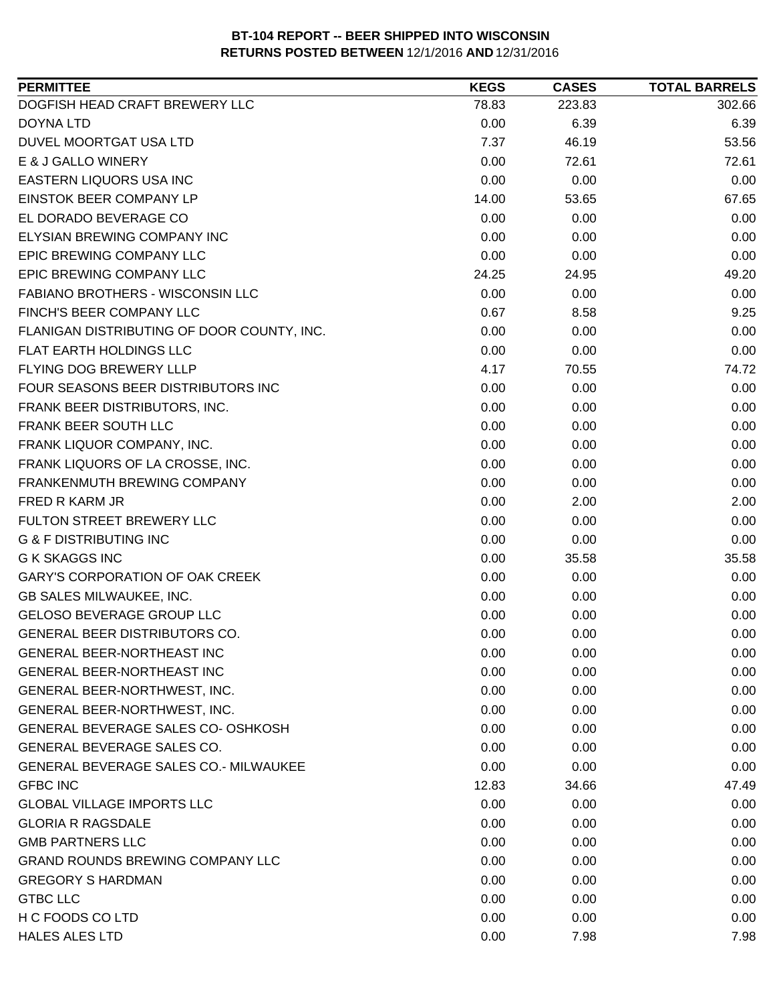| DOGFISH HEAD CRAFT BREWERY LLC<br>223.83<br>78.83<br>302.66<br>0.00<br>6.39<br>6.39<br><b>DOYNA LTD</b><br>DUVEL MOORTGAT USA LTD<br>7.37<br>46.19<br>53.56<br>E & J GALLO WINERY<br>0.00<br>72.61<br>72.61<br>EASTERN LIQUORS USA INC<br>0.00<br>0.00<br>0.00<br>EINSTOK BEER COMPANY LP<br>14.00<br>67.65<br>53.65<br>EL DORADO BEVERAGE CO<br>0.00<br>0.00<br>0.00<br>ELYSIAN BREWING COMPANY INC<br>0.00<br>0.00<br>0.00<br>EPIC BREWING COMPANY LLC<br>0.00<br>0.00<br>0.00<br>EPIC BREWING COMPANY LLC<br>49.20<br>24.25<br>24.95<br>0.00<br><b>FABIANO BROTHERS - WISCONSIN LLC</b><br>0.00<br>0.00<br>FINCH'S BEER COMPANY LLC<br>0.67<br>9.25<br>8.58<br>0.00<br>0.00<br>FLANIGAN DISTRIBUTING OF DOOR COUNTY, INC.<br>0.00<br>FLAT EARTH HOLDINGS LLC<br>0.00<br>0.00<br>0.00<br>FLYING DOG BREWERY LLLP<br>4.17<br>74.72<br>70.55<br>FOUR SEASONS BEER DISTRIBUTORS INC<br>0.00<br>0.00<br>0.00<br>FRANK BEER DISTRIBUTORS, INC.<br>0.00<br>0.00<br>0.00<br>FRANK BEER SOUTH LLC<br>0.00<br>0.00<br>0.00<br>FRANK LIQUOR COMPANY, INC.<br>0.00<br>0.00<br>0.00<br>FRANK LIQUORS OF LA CROSSE, INC.<br>0.00<br>0.00<br>0.00<br>0.00<br>0.00<br>FRANKENMUTH BREWING COMPANY<br>0.00<br>FRED R KARM JR<br>0.00<br>2.00<br>2.00<br>FULTON STREET BREWERY LLC<br>0.00<br>0.00<br>0.00<br><b>G &amp; F DISTRIBUTING INC</b><br>0.00<br>0.00<br>0.00<br>0.00<br>35.58<br><b>G K SKAGGS INC</b><br>35.58<br><b>GARY'S CORPORATION OF OAK CREEK</b><br>0.00<br>0.00<br>0.00<br>GB SALES MILWAUKEE, INC.<br>0.00<br>0.00<br>0.00<br><b>GELOSO BEVERAGE GROUP LLC</b><br>0.00<br>0.00<br>0.00<br>0.00<br>GENERAL BEER DISTRIBUTORS CO.<br>0.00<br>0.00<br><b>GENERAL BEER-NORTHEAST INC</b><br>0.00<br>0.00<br>0.00<br>0.00<br>0.00<br><b>GENERAL BEER-NORTHEAST INC</b><br>0.00<br>GENERAL BEER-NORTHWEST, INC.<br>0.00<br>0.00<br>0.00<br>GENERAL BEER-NORTHWEST, INC.<br>0.00<br>0.00<br>0.00<br>GENERAL BEVERAGE SALES CO- OSHKOSH<br>0.00<br>0.00<br>0.00<br><b>GENERAL BEVERAGE SALES CO.</b><br>0.00<br>0.00<br>0.00<br><b>GENERAL BEVERAGE SALES CO.- MILWAUKEE</b><br>0.00<br>0.00<br>0.00<br><b>GFBC INC</b><br>12.83<br>34.66<br>47.49<br><b>GLOBAL VILLAGE IMPORTS LLC</b><br>0.00<br>0.00<br>0.00<br><b>GLORIA R RAGSDALE</b><br>0.00<br>0.00<br>0.00<br><b>GMB PARTNERS LLC</b><br>0.00<br>0.00<br>0.00<br><b>GRAND ROUNDS BREWING COMPANY LLC</b><br>0.00<br>0.00<br>0.00<br><b>GREGORY S HARDMAN</b><br>0.00<br>0.00<br>0.00<br>0.00<br>0.00<br><b>GTBC LLC</b><br>0.00<br>H C FOODS CO LTD<br>0.00<br>0.00<br>0.00 | <b>PERMITTEE</b>      | <b>KEGS</b> | <b>CASES</b> | <b>TOTAL BARRELS</b> |
|-------------------------------------------------------------------------------------------------------------------------------------------------------------------------------------------------------------------------------------------------------------------------------------------------------------------------------------------------------------------------------------------------------------------------------------------------------------------------------------------------------------------------------------------------------------------------------------------------------------------------------------------------------------------------------------------------------------------------------------------------------------------------------------------------------------------------------------------------------------------------------------------------------------------------------------------------------------------------------------------------------------------------------------------------------------------------------------------------------------------------------------------------------------------------------------------------------------------------------------------------------------------------------------------------------------------------------------------------------------------------------------------------------------------------------------------------------------------------------------------------------------------------------------------------------------------------------------------------------------------------------------------------------------------------------------------------------------------------------------------------------------------------------------------------------------------------------------------------------------------------------------------------------------------------------------------------------------------------------------------------------------------------------------------------------------------------------------------------------------------------------------------------------------------------------------------------------------------------------------------------------------------------------------------------------------------------------------------------------------------------------------------------------------------------------------------------------------------------------------------------------------------------------------|-----------------------|-------------|--------------|----------------------|
|                                                                                                                                                                                                                                                                                                                                                                                                                                                                                                                                                                                                                                                                                                                                                                                                                                                                                                                                                                                                                                                                                                                                                                                                                                                                                                                                                                                                                                                                                                                                                                                                                                                                                                                                                                                                                                                                                                                                                                                                                                                                                                                                                                                                                                                                                                                                                                                                                                                                                                                                     |                       |             |              |                      |
|                                                                                                                                                                                                                                                                                                                                                                                                                                                                                                                                                                                                                                                                                                                                                                                                                                                                                                                                                                                                                                                                                                                                                                                                                                                                                                                                                                                                                                                                                                                                                                                                                                                                                                                                                                                                                                                                                                                                                                                                                                                                                                                                                                                                                                                                                                                                                                                                                                                                                                                                     |                       |             |              |                      |
|                                                                                                                                                                                                                                                                                                                                                                                                                                                                                                                                                                                                                                                                                                                                                                                                                                                                                                                                                                                                                                                                                                                                                                                                                                                                                                                                                                                                                                                                                                                                                                                                                                                                                                                                                                                                                                                                                                                                                                                                                                                                                                                                                                                                                                                                                                                                                                                                                                                                                                                                     |                       |             |              |                      |
|                                                                                                                                                                                                                                                                                                                                                                                                                                                                                                                                                                                                                                                                                                                                                                                                                                                                                                                                                                                                                                                                                                                                                                                                                                                                                                                                                                                                                                                                                                                                                                                                                                                                                                                                                                                                                                                                                                                                                                                                                                                                                                                                                                                                                                                                                                                                                                                                                                                                                                                                     |                       |             |              |                      |
|                                                                                                                                                                                                                                                                                                                                                                                                                                                                                                                                                                                                                                                                                                                                                                                                                                                                                                                                                                                                                                                                                                                                                                                                                                                                                                                                                                                                                                                                                                                                                                                                                                                                                                                                                                                                                                                                                                                                                                                                                                                                                                                                                                                                                                                                                                                                                                                                                                                                                                                                     |                       |             |              |                      |
|                                                                                                                                                                                                                                                                                                                                                                                                                                                                                                                                                                                                                                                                                                                                                                                                                                                                                                                                                                                                                                                                                                                                                                                                                                                                                                                                                                                                                                                                                                                                                                                                                                                                                                                                                                                                                                                                                                                                                                                                                                                                                                                                                                                                                                                                                                                                                                                                                                                                                                                                     |                       |             |              |                      |
|                                                                                                                                                                                                                                                                                                                                                                                                                                                                                                                                                                                                                                                                                                                                                                                                                                                                                                                                                                                                                                                                                                                                                                                                                                                                                                                                                                                                                                                                                                                                                                                                                                                                                                                                                                                                                                                                                                                                                                                                                                                                                                                                                                                                                                                                                                                                                                                                                                                                                                                                     |                       |             |              |                      |
|                                                                                                                                                                                                                                                                                                                                                                                                                                                                                                                                                                                                                                                                                                                                                                                                                                                                                                                                                                                                                                                                                                                                                                                                                                                                                                                                                                                                                                                                                                                                                                                                                                                                                                                                                                                                                                                                                                                                                                                                                                                                                                                                                                                                                                                                                                                                                                                                                                                                                                                                     |                       |             |              |                      |
|                                                                                                                                                                                                                                                                                                                                                                                                                                                                                                                                                                                                                                                                                                                                                                                                                                                                                                                                                                                                                                                                                                                                                                                                                                                                                                                                                                                                                                                                                                                                                                                                                                                                                                                                                                                                                                                                                                                                                                                                                                                                                                                                                                                                                                                                                                                                                                                                                                                                                                                                     |                       |             |              |                      |
|                                                                                                                                                                                                                                                                                                                                                                                                                                                                                                                                                                                                                                                                                                                                                                                                                                                                                                                                                                                                                                                                                                                                                                                                                                                                                                                                                                                                                                                                                                                                                                                                                                                                                                                                                                                                                                                                                                                                                                                                                                                                                                                                                                                                                                                                                                                                                                                                                                                                                                                                     |                       |             |              |                      |
|                                                                                                                                                                                                                                                                                                                                                                                                                                                                                                                                                                                                                                                                                                                                                                                                                                                                                                                                                                                                                                                                                                                                                                                                                                                                                                                                                                                                                                                                                                                                                                                                                                                                                                                                                                                                                                                                                                                                                                                                                                                                                                                                                                                                                                                                                                                                                                                                                                                                                                                                     |                       |             |              |                      |
|                                                                                                                                                                                                                                                                                                                                                                                                                                                                                                                                                                                                                                                                                                                                                                                                                                                                                                                                                                                                                                                                                                                                                                                                                                                                                                                                                                                                                                                                                                                                                                                                                                                                                                                                                                                                                                                                                                                                                                                                                                                                                                                                                                                                                                                                                                                                                                                                                                                                                                                                     |                       |             |              |                      |
|                                                                                                                                                                                                                                                                                                                                                                                                                                                                                                                                                                                                                                                                                                                                                                                                                                                                                                                                                                                                                                                                                                                                                                                                                                                                                                                                                                                                                                                                                                                                                                                                                                                                                                                                                                                                                                                                                                                                                                                                                                                                                                                                                                                                                                                                                                                                                                                                                                                                                                                                     |                       |             |              |                      |
|                                                                                                                                                                                                                                                                                                                                                                                                                                                                                                                                                                                                                                                                                                                                                                                                                                                                                                                                                                                                                                                                                                                                                                                                                                                                                                                                                                                                                                                                                                                                                                                                                                                                                                                                                                                                                                                                                                                                                                                                                                                                                                                                                                                                                                                                                                                                                                                                                                                                                                                                     |                       |             |              |                      |
|                                                                                                                                                                                                                                                                                                                                                                                                                                                                                                                                                                                                                                                                                                                                                                                                                                                                                                                                                                                                                                                                                                                                                                                                                                                                                                                                                                                                                                                                                                                                                                                                                                                                                                                                                                                                                                                                                                                                                                                                                                                                                                                                                                                                                                                                                                                                                                                                                                                                                                                                     |                       |             |              |                      |
|                                                                                                                                                                                                                                                                                                                                                                                                                                                                                                                                                                                                                                                                                                                                                                                                                                                                                                                                                                                                                                                                                                                                                                                                                                                                                                                                                                                                                                                                                                                                                                                                                                                                                                                                                                                                                                                                                                                                                                                                                                                                                                                                                                                                                                                                                                                                                                                                                                                                                                                                     |                       |             |              |                      |
|                                                                                                                                                                                                                                                                                                                                                                                                                                                                                                                                                                                                                                                                                                                                                                                                                                                                                                                                                                                                                                                                                                                                                                                                                                                                                                                                                                                                                                                                                                                                                                                                                                                                                                                                                                                                                                                                                                                                                                                                                                                                                                                                                                                                                                                                                                                                                                                                                                                                                                                                     |                       |             |              |                      |
|                                                                                                                                                                                                                                                                                                                                                                                                                                                                                                                                                                                                                                                                                                                                                                                                                                                                                                                                                                                                                                                                                                                                                                                                                                                                                                                                                                                                                                                                                                                                                                                                                                                                                                                                                                                                                                                                                                                                                                                                                                                                                                                                                                                                                                                                                                                                                                                                                                                                                                                                     |                       |             |              |                      |
|                                                                                                                                                                                                                                                                                                                                                                                                                                                                                                                                                                                                                                                                                                                                                                                                                                                                                                                                                                                                                                                                                                                                                                                                                                                                                                                                                                                                                                                                                                                                                                                                                                                                                                                                                                                                                                                                                                                                                                                                                                                                                                                                                                                                                                                                                                                                                                                                                                                                                                                                     |                       |             |              |                      |
|                                                                                                                                                                                                                                                                                                                                                                                                                                                                                                                                                                                                                                                                                                                                                                                                                                                                                                                                                                                                                                                                                                                                                                                                                                                                                                                                                                                                                                                                                                                                                                                                                                                                                                                                                                                                                                                                                                                                                                                                                                                                                                                                                                                                                                                                                                                                                                                                                                                                                                                                     |                       |             |              |                      |
|                                                                                                                                                                                                                                                                                                                                                                                                                                                                                                                                                                                                                                                                                                                                                                                                                                                                                                                                                                                                                                                                                                                                                                                                                                                                                                                                                                                                                                                                                                                                                                                                                                                                                                                                                                                                                                                                                                                                                                                                                                                                                                                                                                                                                                                                                                                                                                                                                                                                                                                                     |                       |             |              |                      |
|                                                                                                                                                                                                                                                                                                                                                                                                                                                                                                                                                                                                                                                                                                                                                                                                                                                                                                                                                                                                                                                                                                                                                                                                                                                                                                                                                                                                                                                                                                                                                                                                                                                                                                                                                                                                                                                                                                                                                                                                                                                                                                                                                                                                                                                                                                                                                                                                                                                                                                                                     |                       |             |              |                      |
|                                                                                                                                                                                                                                                                                                                                                                                                                                                                                                                                                                                                                                                                                                                                                                                                                                                                                                                                                                                                                                                                                                                                                                                                                                                                                                                                                                                                                                                                                                                                                                                                                                                                                                                                                                                                                                                                                                                                                                                                                                                                                                                                                                                                                                                                                                                                                                                                                                                                                                                                     |                       |             |              |                      |
|                                                                                                                                                                                                                                                                                                                                                                                                                                                                                                                                                                                                                                                                                                                                                                                                                                                                                                                                                                                                                                                                                                                                                                                                                                                                                                                                                                                                                                                                                                                                                                                                                                                                                                                                                                                                                                                                                                                                                                                                                                                                                                                                                                                                                                                                                                                                                                                                                                                                                                                                     |                       |             |              |                      |
|                                                                                                                                                                                                                                                                                                                                                                                                                                                                                                                                                                                                                                                                                                                                                                                                                                                                                                                                                                                                                                                                                                                                                                                                                                                                                                                                                                                                                                                                                                                                                                                                                                                                                                                                                                                                                                                                                                                                                                                                                                                                                                                                                                                                                                                                                                                                                                                                                                                                                                                                     |                       |             |              |                      |
|                                                                                                                                                                                                                                                                                                                                                                                                                                                                                                                                                                                                                                                                                                                                                                                                                                                                                                                                                                                                                                                                                                                                                                                                                                                                                                                                                                                                                                                                                                                                                                                                                                                                                                                                                                                                                                                                                                                                                                                                                                                                                                                                                                                                                                                                                                                                                                                                                                                                                                                                     |                       |             |              |                      |
|                                                                                                                                                                                                                                                                                                                                                                                                                                                                                                                                                                                                                                                                                                                                                                                                                                                                                                                                                                                                                                                                                                                                                                                                                                                                                                                                                                                                                                                                                                                                                                                                                                                                                                                                                                                                                                                                                                                                                                                                                                                                                                                                                                                                                                                                                                                                                                                                                                                                                                                                     |                       |             |              |                      |
|                                                                                                                                                                                                                                                                                                                                                                                                                                                                                                                                                                                                                                                                                                                                                                                                                                                                                                                                                                                                                                                                                                                                                                                                                                                                                                                                                                                                                                                                                                                                                                                                                                                                                                                                                                                                                                                                                                                                                                                                                                                                                                                                                                                                                                                                                                                                                                                                                                                                                                                                     |                       |             |              |                      |
|                                                                                                                                                                                                                                                                                                                                                                                                                                                                                                                                                                                                                                                                                                                                                                                                                                                                                                                                                                                                                                                                                                                                                                                                                                                                                                                                                                                                                                                                                                                                                                                                                                                                                                                                                                                                                                                                                                                                                                                                                                                                                                                                                                                                                                                                                                                                                                                                                                                                                                                                     |                       |             |              |                      |
|                                                                                                                                                                                                                                                                                                                                                                                                                                                                                                                                                                                                                                                                                                                                                                                                                                                                                                                                                                                                                                                                                                                                                                                                                                                                                                                                                                                                                                                                                                                                                                                                                                                                                                                                                                                                                                                                                                                                                                                                                                                                                                                                                                                                                                                                                                                                                                                                                                                                                                                                     |                       |             |              |                      |
|                                                                                                                                                                                                                                                                                                                                                                                                                                                                                                                                                                                                                                                                                                                                                                                                                                                                                                                                                                                                                                                                                                                                                                                                                                                                                                                                                                                                                                                                                                                                                                                                                                                                                                                                                                                                                                                                                                                                                                                                                                                                                                                                                                                                                                                                                                                                                                                                                                                                                                                                     |                       |             |              |                      |
|                                                                                                                                                                                                                                                                                                                                                                                                                                                                                                                                                                                                                                                                                                                                                                                                                                                                                                                                                                                                                                                                                                                                                                                                                                                                                                                                                                                                                                                                                                                                                                                                                                                                                                                                                                                                                                                                                                                                                                                                                                                                                                                                                                                                                                                                                                                                                                                                                                                                                                                                     |                       |             |              |                      |
|                                                                                                                                                                                                                                                                                                                                                                                                                                                                                                                                                                                                                                                                                                                                                                                                                                                                                                                                                                                                                                                                                                                                                                                                                                                                                                                                                                                                                                                                                                                                                                                                                                                                                                                                                                                                                                                                                                                                                                                                                                                                                                                                                                                                                                                                                                                                                                                                                                                                                                                                     |                       |             |              |                      |
|                                                                                                                                                                                                                                                                                                                                                                                                                                                                                                                                                                                                                                                                                                                                                                                                                                                                                                                                                                                                                                                                                                                                                                                                                                                                                                                                                                                                                                                                                                                                                                                                                                                                                                                                                                                                                                                                                                                                                                                                                                                                                                                                                                                                                                                                                                                                                                                                                                                                                                                                     |                       |             |              |                      |
|                                                                                                                                                                                                                                                                                                                                                                                                                                                                                                                                                                                                                                                                                                                                                                                                                                                                                                                                                                                                                                                                                                                                                                                                                                                                                                                                                                                                                                                                                                                                                                                                                                                                                                                                                                                                                                                                                                                                                                                                                                                                                                                                                                                                                                                                                                                                                                                                                                                                                                                                     |                       |             |              |                      |
|                                                                                                                                                                                                                                                                                                                                                                                                                                                                                                                                                                                                                                                                                                                                                                                                                                                                                                                                                                                                                                                                                                                                                                                                                                                                                                                                                                                                                                                                                                                                                                                                                                                                                                                                                                                                                                                                                                                                                                                                                                                                                                                                                                                                                                                                                                                                                                                                                                                                                                                                     |                       |             |              |                      |
|                                                                                                                                                                                                                                                                                                                                                                                                                                                                                                                                                                                                                                                                                                                                                                                                                                                                                                                                                                                                                                                                                                                                                                                                                                                                                                                                                                                                                                                                                                                                                                                                                                                                                                                                                                                                                                                                                                                                                                                                                                                                                                                                                                                                                                                                                                                                                                                                                                                                                                                                     |                       |             |              |                      |
|                                                                                                                                                                                                                                                                                                                                                                                                                                                                                                                                                                                                                                                                                                                                                                                                                                                                                                                                                                                                                                                                                                                                                                                                                                                                                                                                                                                                                                                                                                                                                                                                                                                                                                                                                                                                                                                                                                                                                                                                                                                                                                                                                                                                                                                                                                                                                                                                                                                                                                                                     |                       |             |              |                      |
|                                                                                                                                                                                                                                                                                                                                                                                                                                                                                                                                                                                                                                                                                                                                                                                                                                                                                                                                                                                                                                                                                                                                                                                                                                                                                                                                                                                                                                                                                                                                                                                                                                                                                                                                                                                                                                                                                                                                                                                                                                                                                                                                                                                                                                                                                                                                                                                                                                                                                                                                     |                       |             |              |                      |
|                                                                                                                                                                                                                                                                                                                                                                                                                                                                                                                                                                                                                                                                                                                                                                                                                                                                                                                                                                                                                                                                                                                                                                                                                                                                                                                                                                                                                                                                                                                                                                                                                                                                                                                                                                                                                                                                                                                                                                                                                                                                                                                                                                                                                                                                                                                                                                                                                                                                                                                                     |                       |             |              |                      |
|                                                                                                                                                                                                                                                                                                                                                                                                                                                                                                                                                                                                                                                                                                                                                                                                                                                                                                                                                                                                                                                                                                                                                                                                                                                                                                                                                                                                                                                                                                                                                                                                                                                                                                                                                                                                                                                                                                                                                                                                                                                                                                                                                                                                                                                                                                                                                                                                                                                                                                                                     |                       |             |              |                      |
|                                                                                                                                                                                                                                                                                                                                                                                                                                                                                                                                                                                                                                                                                                                                                                                                                                                                                                                                                                                                                                                                                                                                                                                                                                                                                                                                                                                                                                                                                                                                                                                                                                                                                                                                                                                                                                                                                                                                                                                                                                                                                                                                                                                                                                                                                                                                                                                                                                                                                                                                     |                       |             |              |                      |
|                                                                                                                                                                                                                                                                                                                                                                                                                                                                                                                                                                                                                                                                                                                                                                                                                                                                                                                                                                                                                                                                                                                                                                                                                                                                                                                                                                                                                                                                                                                                                                                                                                                                                                                                                                                                                                                                                                                                                                                                                                                                                                                                                                                                                                                                                                                                                                                                                                                                                                                                     |                       |             |              |                      |
|                                                                                                                                                                                                                                                                                                                                                                                                                                                                                                                                                                                                                                                                                                                                                                                                                                                                                                                                                                                                                                                                                                                                                                                                                                                                                                                                                                                                                                                                                                                                                                                                                                                                                                                                                                                                                                                                                                                                                                                                                                                                                                                                                                                                                                                                                                                                                                                                                                                                                                                                     |                       |             |              |                      |
|                                                                                                                                                                                                                                                                                                                                                                                                                                                                                                                                                                                                                                                                                                                                                                                                                                                                                                                                                                                                                                                                                                                                                                                                                                                                                                                                                                                                                                                                                                                                                                                                                                                                                                                                                                                                                                                                                                                                                                                                                                                                                                                                                                                                                                                                                                                                                                                                                                                                                                                                     | <b>HALES ALES LTD</b> | 0.00        | 7.98         | 7.98                 |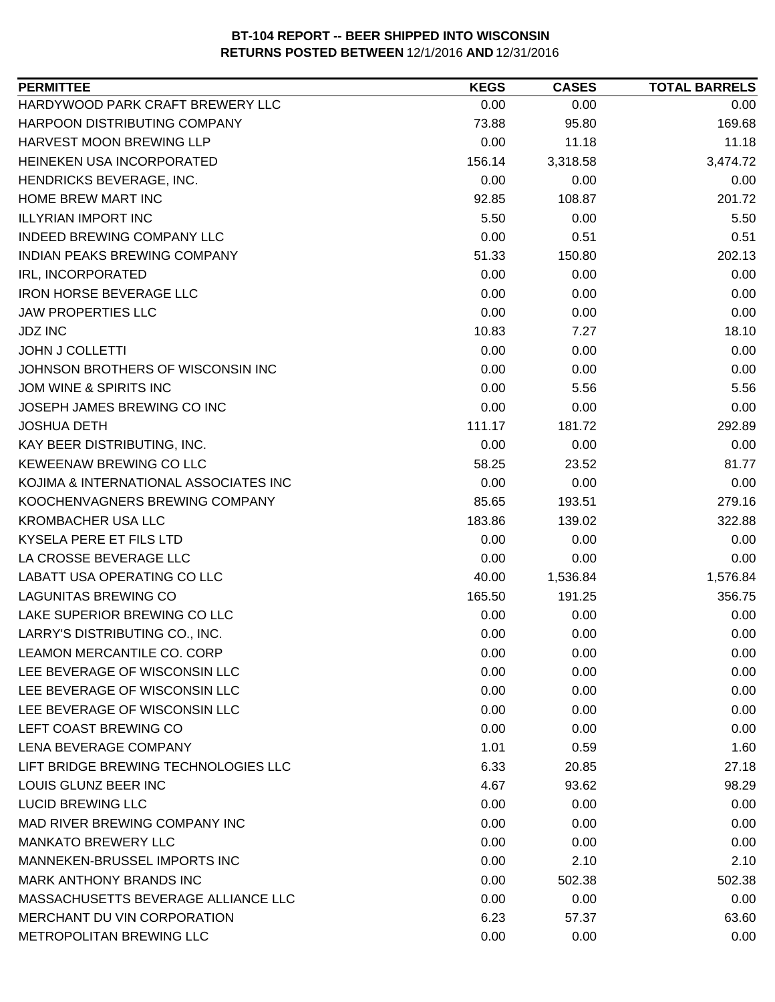| <b>PERMITTEE</b>                      | <b>KEGS</b> | <b>CASES</b> | <b>TOTAL BARRELS</b> |
|---------------------------------------|-------------|--------------|----------------------|
| HARDYWOOD PARK CRAFT BREWERY LLC      | 0.00        | 0.00         | 0.00                 |
| HARPOON DISTRIBUTING COMPANY          | 73.88       | 95.80        | 169.68               |
| HARVEST MOON BREWING LLP              | 0.00        | 11.18        | 11.18                |
| HEINEKEN USA INCORPORATED             | 156.14      | 3,318.58     | 3,474.72             |
| HENDRICKS BEVERAGE, INC.              | 0.00        | 0.00         | 0.00                 |
| HOME BREW MART INC                    | 92.85       | 108.87       | 201.72               |
| <b>ILLYRIAN IMPORT INC</b>            | 5.50        | 0.00         | 5.50                 |
| <b>INDEED BREWING COMPANY LLC</b>     | 0.00        | 0.51         | 0.51                 |
| <b>INDIAN PEAKS BREWING COMPANY</b>   | 51.33       | 150.80       | 202.13               |
| <b>IRL, INCORPORATED</b>              | 0.00        | 0.00         | 0.00                 |
| <b>IRON HORSE BEVERAGE LLC</b>        | 0.00        | 0.00         | 0.00                 |
| <b>JAW PROPERTIES LLC</b>             | 0.00        | 0.00         | 0.00                 |
| <b>JDZ INC</b>                        | 10.83       | 7.27         | 18.10                |
| <b>JOHN J COLLETTI</b>                | 0.00        | 0.00         | 0.00                 |
| JOHNSON BROTHERS OF WISCONSIN INC     | 0.00        | 0.00         | 0.00                 |
| JOM WINE & SPIRITS INC                | 0.00        | 5.56         | 5.56                 |
| JOSEPH JAMES BREWING CO INC           | 0.00        | 0.00         | 0.00                 |
| <b>JOSHUA DETH</b>                    | 111.17      | 181.72       | 292.89               |
| KAY BEER DISTRIBUTING, INC.           | 0.00        | 0.00         | 0.00                 |
| <b>KEWEENAW BREWING CO LLC</b>        | 58.25       | 23.52        | 81.77                |
| KOJIMA & INTERNATIONAL ASSOCIATES INC | 0.00        | 0.00         | 0.00                 |
| KOOCHENVAGNERS BREWING COMPANY        | 85.65       | 193.51       | 279.16               |
| <b>KROMBACHER USA LLC</b>             | 183.86      | 139.02       | 322.88               |
| KYSELA PERE ET FILS LTD               | 0.00        | 0.00         | 0.00                 |
| LA CROSSE BEVERAGE LLC                | 0.00        | 0.00         | 0.00                 |
| LABATT USA OPERATING CO LLC           | 40.00       | 1,536.84     | 1,576.84             |
| <b>LAGUNITAS BREWING CO</b>           | 165.50      | 191.25       | 356.75               |
| LAKE SUPERIOR BREWING CO LLC          | 0.00        | 0.00         | 0.00                 |
| LARRY'S DISTRIBUTING CO., INC.        | 0.00        | 0.00         | 0.00                 |
| LEAMON MERCANTILE CO. CORP            | 0.00        | 0.00         | 0.00                 |
| LEE BEVERAGE OF WISCONSIN LLC         | 0.00        | 0.00         | 0.00                 |
| LEE BEVERAGE OF WISCONSIN LLC         | 0.00        | 0.00         | 0.00                 |
| LEE BEVERAGE OF WISCONSIN LLC         | 0.00        | 0.00         | 0.00                 |
| LEFT COAST BREWING CO                 | 0.00        | 0.00         | 0.00                 |
| LENA BEVERAGE COMPANY                 | 1.01        | 0.59         | 1.60                 |
| LIFT BRIDGE BREWING TECHNOLOGIES LLC  | 6.33        | 20.85        | 27.18                |
| LOUIS GLUNZ BEER INC                  | 4.67        | 93.62        | 98.29                |
| <b>LUCID BREWING LLC</b>              | 0.00        | 0.00         | 0.00                 |
| MAD RIVER BREWING COMPANY INC         | 0.00        | 0.00         | 0.00                 |
| <b>MANKATO BREWERY LLC</b>            | 0.00        | 0.00         | 0.00                 |
| MANNEKEN-BRUSSEL IMPORTS INC          | 0.00        | 2.10         | 2.10                 |
| MARK ANTHONY BRANDS INC               | 0.00        | 502.38       | 502.38               |
| MASSACHUSETTS BEVERAGE ALLIANCE LLC   | 0.00        | 0.00         | 0.00                 |
| MERCHANT DU VIN CORPORATION           | 6.23        | 57.37        | 63.60                |
| METROPOLITAN BREWING LLC              | 0.00        | 0.00         | 0.00                 |
|                                       |             |              |                      |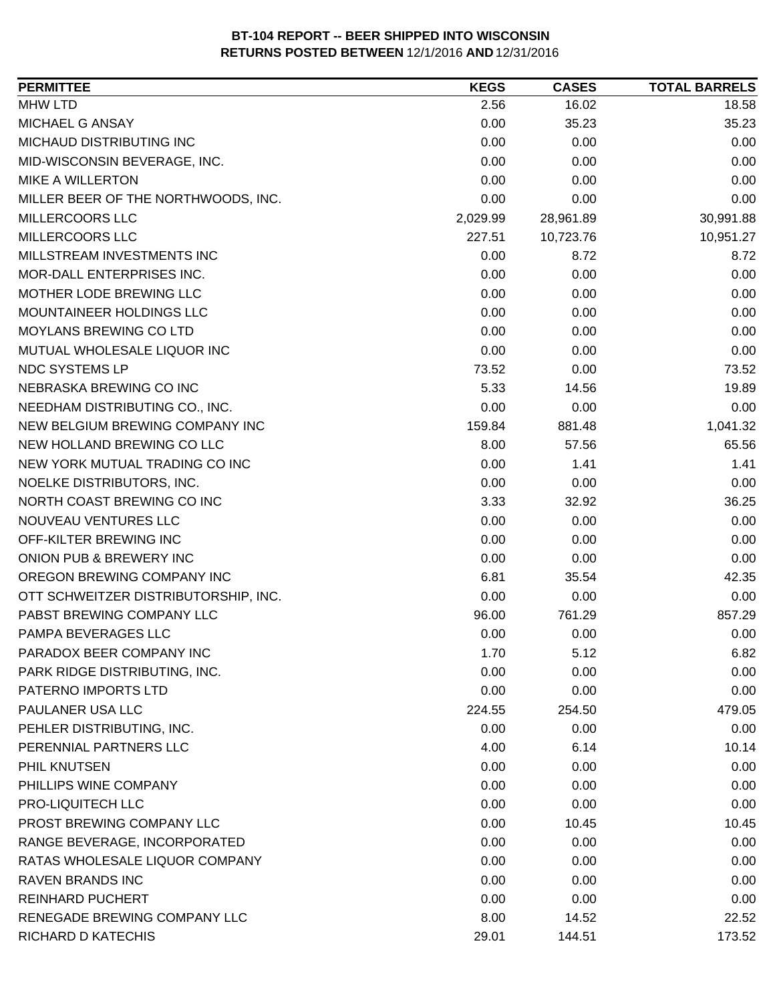| <b>PERMITTEE</b>                                     | <b>KEGS</b>  | <b>CASES</b> | <b>TOTAL BARRELS</b> |
|------------------------------------------------------|--------------|--------------|----------------------|
| <b>MHW LTD</b>                                       | 2.56         | 16.02        | 18.58                |
| MICHAEL G ANSAY                                      | 0.00         | 35.23        | 35.23                |
| MICHAUD DISTRIBUTING INC                             | 0.00         | 0.00         | 0.00                 |
| MID-WISCONSIN BEVERAGE, INC.                         | 0.00         | 0.00         | 0.00                 |
| <b>MIKE A WILLERTON</b>                              | 0.00         | 0.00         | 0.00                 |
| MILLER BEER OF THE NORTHWOODS, INC.                  | 0.00         | 0.00         | 0.00                 |
| MILLERCOORS LLC                                      | 2,029.99     | 28,961.89    | 30,991.88            |
| MILLERCOORS LLC                                      | 227.51       | 10,723.76    | 10,951.27            |
| MILLSTREAM INVESTMENTS INC                           | 0.00         | 8.72         | 8.72                 |
| MOR-DALL ENTERPRISES INC.                            | 0.00         | 0.00         | 0.00                 |
| MOTHER LODE BREWING LLC                              | 0.00         | 0.00         | 0.00                 |
| MOUNTAINEER HOLDINGS LLC                             | 0.00         | 0.00         | 0.00                 |
| <b>MOYLANS BREWING CO LTD</b>                        | 0.00         | 0.00         | 0.00                 |
| MUTUAL WHOLESALE LIQUOR INC                          | 0.00         | 0.00         | 0.00                 |
| NDC SYSTEMS LP                                       | 73.52        | 0.00         | 73.52                |
| NEBRASKA BREWING CO INC                              | 5.33         | 14.56        | 19.89                |
| NEEDHAM DISTRIBUTING CO., INC.                       | 0.00         | 0.00         | 0.00                 |
| NEW BELGIUM BREWING COMPANY INC                      | 159.84       | 881.48       | 1,041.32             |
| NEW HOLLAND BREWING CO LLC                           | 8.00         | 57.56        | 65.56                |
| NEW YORK MUTUAL TRADING CO INC                       | 0.00         | 1.41         | 1.41                 |
| NOELKE DISTRIBUTORS, INC.                            | 0.00         | 0.00         | 0.00                 |
| NORTH COAST BREWING CO INC                           | 3.33         | 32.92        | 36.25                |
| NOUVEAU VENTURES LLC                                 | 0.00         | 0.00         | 0.00                 |
| OFF-KILTER BREWING INC                               | 0.00         | 0.00         | 0.00                 |
| ONION PUB & BREWERY INC                              | 0.00         | 0.00         | 0.00                 |
| OREGON BREWING COMPANY INC                           | 6.81         | 35.54        | 42.35                |
| OTT SCHWEITZER DISTRIBUTORSHIP, INC.                 | 0.00         | 0.00         | 0.00                 |
| PABST BREWING COMPANY LLC                            | 96.00        | 761.29       | 857.29               |
| PAMPA BEVERAGES LLC                                  | 0.00         | 0.00         | 0.00                 |
| PARADOX BEER COMPANY INC                             |              |              |                      |
|                                                      | 1.70<br>0.00 | 5.12         | 6.82                 |
| PARK RIDGE DISTRIBUTING, INC.<br>PATERNO IMPORTS LTD | 0.00         | 0.00         | 0.00                 |
| PAULANER USA LLC                                     |              | 0.00         | 0.00                 |
|                                                      | 224.55       | 254.50       | 479.05               |
| PEHLER DISTRIBUTING, INC.                            | 0.00         | 0.00         | 0.00                 |
| PERENNIAL PARTNERS LLC                               | 4.00         | 6.14         | 10.14                |
| PHIL KNUTSEN                                         | 0.00         | 0.00         | 0.00                 |
| PHILLIPS WINE COMPANY                                | 0.00         | 0.00         | 0.00                 |
| PRO-LIQUITECH LLC                                    | 0.00         | 0.00         | 0.00                 |
| PROST BREWING COMPANY LLC                            | 0.00         | 10.45        | 10.45                |
| RANGE BEVERAGE, INCORPORATED                         | 0.00         | 0.00         | 0.00                 |
| RATAS WHOLESALE LIQUOR COMPANY                       | 0.00         | 0.00         | 0.00                 |
| <b>RAVEN BRANDS INC</b>                              | 0.00         | 0.00         | 0.00                 |
| <b>REINHARD PUCHERT</b>                              | 0.00         | 0.00         | 0.00                 |
| RENEGADE BREWING COMPANY LLC                         | 8.00         | 14.52        | 22.52                |
| RICHARD D KATECHIS                                   | 29.01        | 144.51       | 173.52               |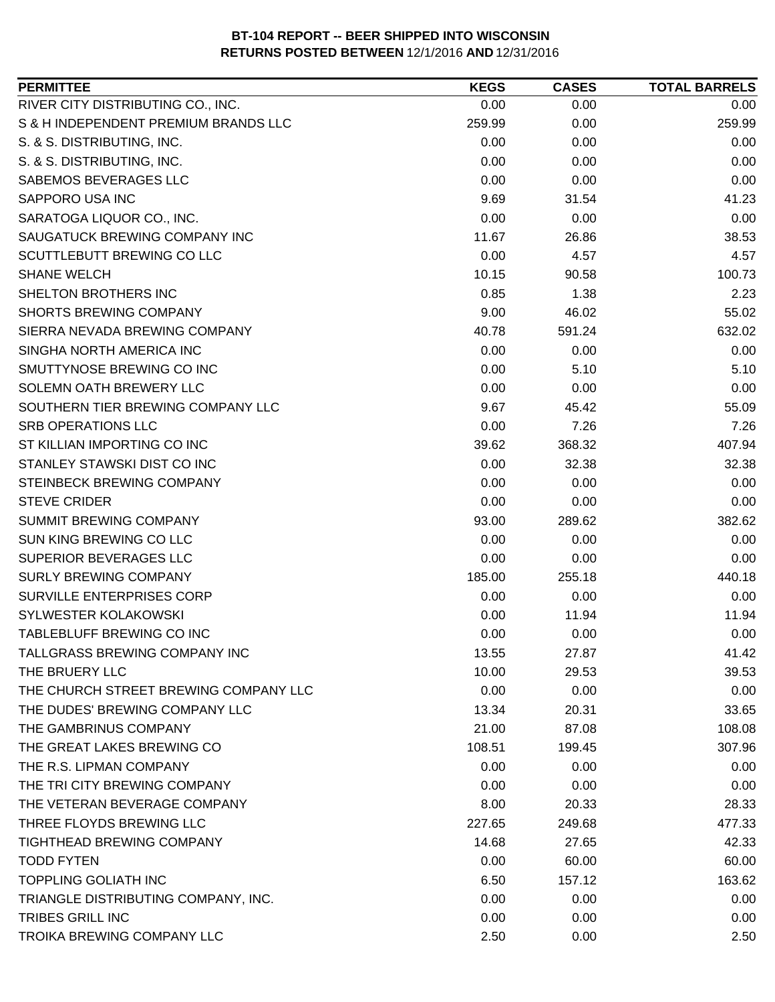| <b>PERMITTEE</b>                      | <b>KEGS</b> | <b>CASES</b> | <b>TOTAL BARRELS</b> |
|---------------------------------------|-------------|--------------|----------------------|
| RIVER CITY DISTRIBUTING CO., INC.     | 0.00        | 0.00         | 0.00                 |
| S & H INDEPENDENT PREMIUM BRANDS LLC  | 259.99      | 0.00         | 259.99               |
| S. & S. DISTRIBUTING, INC.            | 0.00        | 0.00         | 0.00                 |
| S. & S. DISTRIBUTING, INC.            | 0.00        | 0.00         | 0.00                 |
| SABEMOS BEVERAGES LLC                 | 0.00        | 0.00         | 0.00                 |
| SAPPORO USA INC                       | 9.69        | 31.54        | 41.23                |
| SARATOGA LIQUOR CO., INC.             | 0.00        | 0.00         | 0.00                 |
| SAUGATUCK BREWING COMPANY INC         | 11.67       | 26.86        | 38.53                |
| SCUTTLEBUTT BREWING CO LLC            | 0.00        | 4.57         | 4.57                 |
| <b>SHANE WELCH</b>                    | 10.15       | 90.58        | 100.73               |
| SHELTON BROTHERS INC                  | 0.85        | 1.38         | 2.23                 |
| <b>SHORTS BREWING COMPANY</b>         | 9.00        | 46.02        | 55.02                |
| SIERRA NEVADA BREWING COMPANY         | 40.78       | 591.24       | 632.02               |
| SINGHA NORTH AMERICA INC              | 0.00        | 0.00         | 0.00                 |
| SMUTTYNOSE BREWING CO INC             | 0.00        | 5.10         | 5.10                 |
| SOLEMN OATH BREWERY LLC               | 0.00        | 0.00         | 0.00                 |
| SOUTHERN TIER BREWING COMPANY LLC     | 9.67        | 45.42        | 55.09                |
| <b>SRB OPERATIONS LLC</b>             | 0.00        | 7.26         | 7.26                 |
| ST KILLIAN IMPORTING CO INC           | 39.62       | 368.32       | 407.94               |
| STANLEY STAWSKI DIST CO INC           | 0.00        | 32.38        | 32.38                |
| STEINBECK BREWING COMPANY             | 0.00        | 0.00         | 0.00                 |
| <b>STEVE CRIDER</b>                   | 0.00        | 0.00         | 0.00                 |
| SUMMIT BREWING COMPANY                | 93.00       | 289.62       | 382.62               |
| SUN KING BREWING CO LLC               | 0.00        | 0.00         | 0.00                 |
| SUPERIOR BEVERAGES LLC                | 0.00        | 0.00         | 0.00                 |
| <b>SURLY BREWING COMPANY</b>          | 185.00      | 255.18       | 440.18               |
| SURVILLE ENTERPRISES CORP             | 0.00        | 0.00         | 0.00                 |
| SYLWESTER KOLAKOWSKI                  | 0.00        | 11.94        | 11.94                |
| TABLEBLUFF BREWING CO INC             | 0.00        | 0.00         | 0.00                 |
| TALLGRASS BREWING COMPANY INC         | 13.55       | 27.87        | 41.42                |
| THE BRUERY LLC                        | 10.00       | 29.53        | 39.53                |
| THE CHURCH STREET BREWING COMPANY LLC | 0.00        | 0.00         | 0.00                 |
| THE DUDES' BREWING COMPANY LLC        | 13.34       | 20.31        | 33.65                |
| THE GAMBRINUS COMPANY                 | 21.00       | 87.08        | 108.08               |
| THE GREAT LAKES BREWING CO            | 108.51      | 199.45       | 307.96               |
| THE R.S. LIPMAN COMPANY               | 0.00        | 0.00         | 0.00                 |
| THE TRI CITY BREWING COMPANY          | 0.00        | 0.00         | 0.00                 |
| THE VETERAN BEVERAGE COMPANY          | 8.00        | 20.33        | 28.33                |
| THREE FLOYDS BREWING LLC              | 227.65      | 249.68       | 477.33               |
| <b>TIGHTHEAD BREWING COMPANY</b>      | 14.68       | 27.65        | 42.33                |
| <b>TODD FYTEN</b>                     | 0.00        | 60.00        | 60.00                |
| <b>TOPPLING GOLIATH INC</b>           | 6.50        | 157.12       | 163.62               |
| TRIANGLE DISTRIBUTING COMPANY, INC.   | 0.00        | 0.00         | 0.00                 |
| TRIBES GRILL INC                      | 0.00        | 0.00         | 0.00                 |
| TROIKA BREWING COMPANY LLC            | 2.50        | 0.00         | 2.50                 |